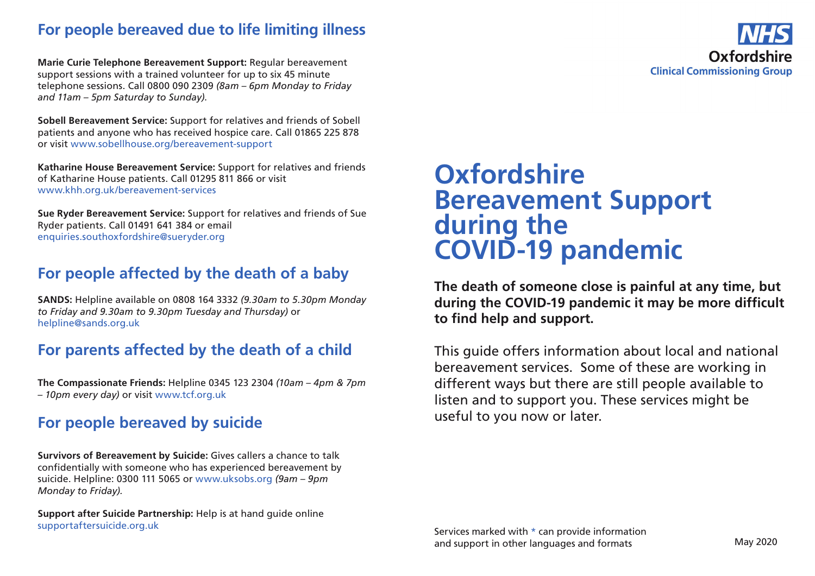## **For people bereaved due to life limiting illness**

**Marie Curie Telephone Bereavement Support:** Regular bereavement support sessions with a trained volunteer for up to six 45 minute telephone sessions. Call 0800 090 2309 *(8am – 6pm Monday to Friday and 11am – 5pm Saturday to Sunday)*.

**Sobell Bereavement Service:** Support for relatives and friends of Sobell patients and anyone who has received hospice care. Call 01865 225 878 or visit www.sobellhouse.org/bereavement-support

**Katharine House Bereavement Service:** Support for relatives and friends of Katharine House patients. Call 01295 811 866 or visit www.khh.org.uk/bereavement-services

**Sue Ryder Bereavement Service:** Support for relatives and friends of Sue Ryder patients. Call 01491 641 384 or email enquiries.southoxfordshire@sueryder.org

## **For people affected by the death of a baby**

**SANDS:** Helpline available on 0808 164 3332 *(9.30am to 5.30pm Monday to Friday and 9.30am to 9.30pm Tuesday and Thursday)* or helpline@sands.org.uk

# **For parents affected by the death of a child**

**The Compassionate Friends:** Helpline 0345 123 2304 *(10am – 4pm & 7pm – 10pm every day)* or visit www.tcf.org.uk

# **For people bereaved by suicide**

**Survivors of Bereavement by Suicide:** Gives callers a chance to talk confidentially with someone who has experienced bereavement by suicide. Helpline: 0300 111 5065 or www.uksobs.org *(9am – 9pm Monday to Friday).*

**Support after Suicide Partnership:** Help is at hand guide online supportaftersuicide.org.uk

# **Oxfordshire Bereavement Support during the COVID-19 pandemic**

**The death of someone close is painful at any time, but during the COVID-19 pandemic it may be more difficult to find help and support.**

This guide offers information about local and national bereavement services. Some of these are working in different ways but there are still people available to listen and to support you. These services might be useful to you now or later.